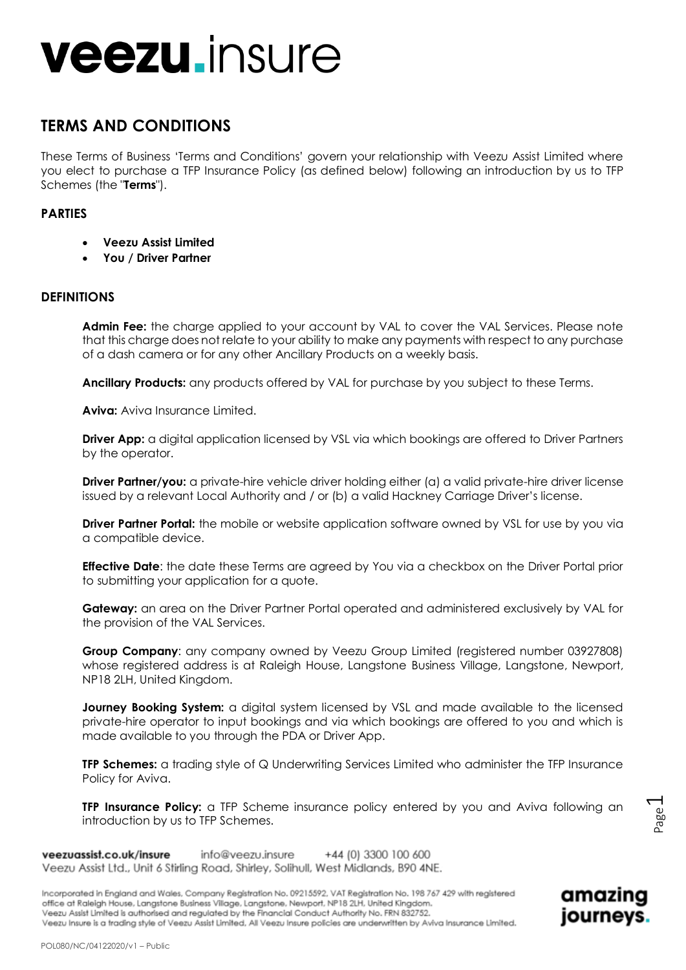## **TERMS AND CONDITIONS**

These Terms of Business 'Terms and Conditions' govern your relationship with Veezu Assist Limited where you elect to purchase a TFP Insurance Policy (as defined below) following an introduction by us to TFP Schemes (the "**Terms**").

### **PARTIES**

- **Veezu Assist Limited**
- **You / Driver Partner**

## **DEFINITIONS**

**Admin Fee:** the charge applied to your account by VAL to cover the VAL Services. Please note that this charge does not relate to your ability to make any payments with respect to any purchase of a dash camera or for any other Ancillary Products on a weekly basis.

**Ancillary Products:** any products offered by VAL for purchase by you subject to these Terms.

**Aviva:** Aviva Insurance Limited.

**Driver App:** a digital application licensed by VSL via which bookings are offered to Driver Partners by the operator.

**Driver Partner/you:** a private-hire vehicle driver holding either (a) a valid private-hire driver license issued by a relevant Local Authority and / or (b) a valid Hackney Carriage Driver's license.

**Driver Partner Portal:** the mobile or website application software owned by VSL for use by you via a compatible device.

**Effective Date**: the date these Terms are agreed by You via a checkbox on the Driver Portal prior to submitting your application for a quote.

**Gateway:** an area on the Driver Partner Portal operated and administered exclusively by VAL for the provision of the VAL Services.

**Group Company**: any company owned by Veezu Group Limited (registered number 03927808) whose registered address is at Raleigh House, Langstone Business Village, Langstone, Newport, NP18 2LH, United Kingdom.

**Journey Booking System:** a digital system licensed by VSL and made available to the licensed private-hire operator to input bookings and via which bookings are offered to you and which is made available to you through the PDA or Driver App.

**TFP Schemes:** a trading style of Q Underwriting Services Limited who administer the TFP Insurance Policy for Aviva.

**TFP Insurance Policy:** a TFP Scheme insurance policy entered by you and Aviva following an introduction by us to TFP Schemes.

veezuassist.co.uk/insure info@veezu.insure +44 (0) 3300 100 600 Veezu Assist Ltd., Unit 6 Stirling Road, Shirley, Solihull, West Midlands, B90 4NE.

Incorporated in England and Wales, Company Registration No. 09215592, VAT Registration No. 198 767 429 with registered office at Raleigh House, Langstone Business Village, Langstone, Newport, NP18 2LH, United Kingdom. Veezu Assist Limited is authorised and regulated by the Financial Conduct Authority No. FRN 832752. Veezu Insure is a trading style of Veezu Assist Limited, All Veezu Insure policies are underwritten by Aviva Insurance Limited.



Page  $\overline{\phantom{0}}$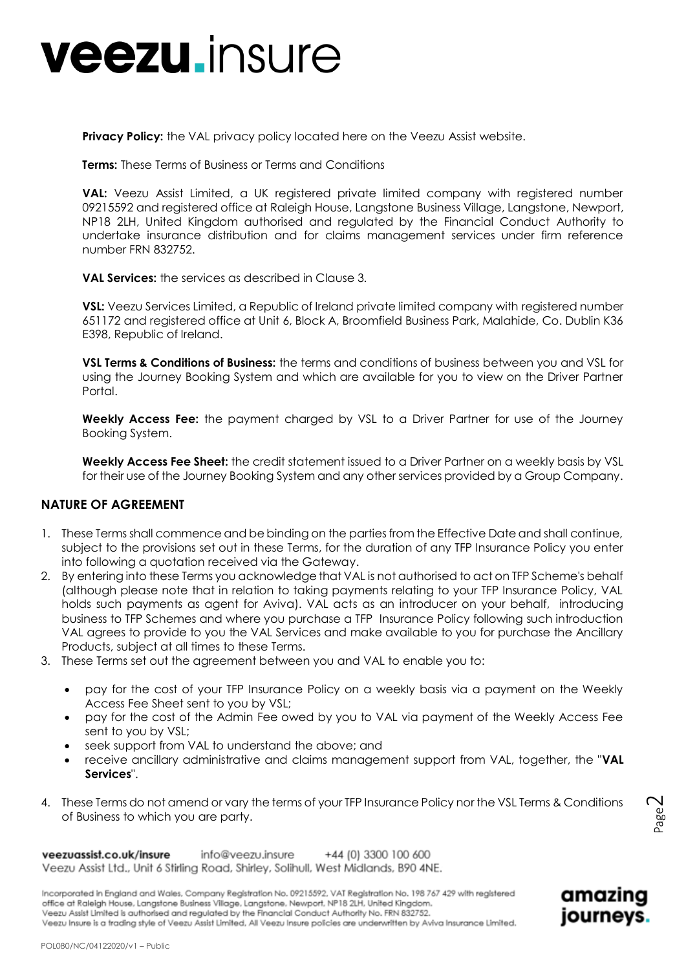**Privacy Policy:** the VAL privacy policy located here on the Veezu Assist website.

**Terms:** These Terms of Business or Terms and Conditions

**VAL:** Veezu Assist Limited, a UK registered private limited company with registered number 09215592 and registered office at Raleigh House, Langstone Business Village, Langstone, Newport, NP18 2LH, United Kingdom authorised and regulated by the Financial Conduct Authority to undertake insurance distribution and for claims management services under firm reference number FRN 832752.

**VAL Services:** the services as described in Clause 3.

**VSL:** Veezu Services Limited, a Republic of Ireland private limited company with registered number 651172 and registered office at Unit 6, Block A, Broomfield Business Park, Malahide, Co. Dublin K36 E398, Republic of Ireland.

**VSL Terms & Conditions of Business:** the terms and conditions of business between you and VSL for using the Journey Booking System and which are available for you to view on the Driver Partner Portal.

**Weekly Access Fee:** the payment charged by VSL to a Driver Partner for use of the Journey Booking System.

**Weekly Access Fee Sheet:** the credit statement issued to a Driver Partner on a weekly basis by VSL for their use of the Journey Booking System and any other services provided by a Group Company.

### **NATURE OF AGREEMENT**

- 1. These Terms shall commence and be binding on the parties from the Effective Date and shall continue, subject to the provisions set out in these Terms, for the duration of any TFP Insurance Policy you enter into following a quotation received via the Gateway.
- 2. By entering into these Terms you acknowledge that VAL is not authorised to act on TFP Scheme's behalf (although please note that in relation to taking payments relating to your TFP Insurance Policy, VAL holds such payments as agent for Aviva). VAL acts as an introducer on your behalf, introducing business to TFP Schemes and where you purchase a TFP Insurance Policy following such introduction VAL agrees to provide to you the VAL Services and make available to you for purchase the Ancillary Products, subject at all times to these Terms.
- 3. These Terms set out the agreement between you and VAL to enable you to:
	- pay for the cost of your TFP Insurance Policy on a weekly basis via a payment on the Weekly Access Fee Sheet sent to you by VSL;
	- pay for the cost of the Admin Fee owed by you to VAL via payment of the Weekly Access Fee sent to you by VSL;
	- seek support from VAL to understand the above; and
	- receive ancillary administrative and claims management support from VAL, together, the "**VAL Services**".
- 4. These Terms do not amend or vary the terms of your TFP Insurance Policy nor the VSL Terms & Conditions of Business to which you are party.

Incorporated in England and Wales, Company Registration No. 09215592, VAT Registration No. 198 767 429 with registered office at Raleigh House, Langstone Business Village, Langstone, Newport, NP18 2LH, United Kingdom. Veezu Assist Limited is authorised and regulated by the Financial Conduct Authority No. FRN 832752. Veezu Insure is a tradina style of Veezu Assist Limited, All Veezu Insure policies are underwritten by Aviva Insurance Limited.



Page  $\mathrel{\sim}$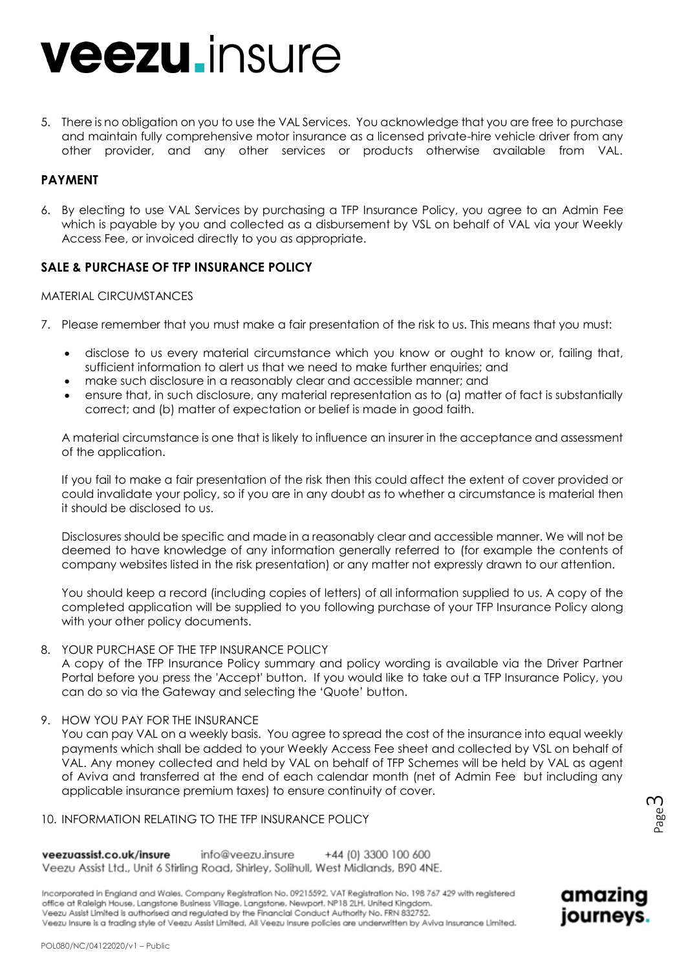5. There is no obligation on you to use the VAL Services. You acknowledge that you are free to purchase and maintain fully comprehensive motor insurance as a licensed private-hire vehicle driver from any other provider, and any other services or products otherwise available from VAL.

### **PAYMENT**

6. By electing to use VAL Services by purchasing a TFP Insurance Policy, you agree to an Admin Fee which is payable by you and collected as a disbursement by VSL on behalf of VAL via your Weekly Access Fee, or invoiced directly to you as appropriate.

### **SALE & PURCHASE OF TFP INSURANCE POLICY**

#### MATERIAL CIRCUMSTANCES

- 7. Please remember that you must make a fair presentation of the risk to us. This means that you must:
	- disclose to us every material circumstance which you know or ought to know or, failing that, sufficient information to alert us that we need to make further enquiries; and
	- make such disclosure in a reasonably clear and accessible manner; and
	- ensure that, in such disclosure, any material representation as to (a) matter of fact is substantially correct; and (b) matter of expectation or belief is made in good faith.

A material circumstance is one that is likely to influence an insurer in the acceptance and assessment of the application.

If you fail to make a fair presentation of the risk then this could affect the extent of cover provided or could invalidate your policy, so if you are in any doubt as to whether a circumstance is material then it should be disclosed to us.

Disclosures should be specific and made in a reasonably clear and accessible manner. We will not be deemed to have knowledge of any information generally referred to (for example the contents of company websites listed in the risk presentation) or any matter not expressly drawn to our attention.

You should keep a record (including copies of letters) of all information supplied to us. A copy of the completed application will be supplied to you following purchase of your TFP Insurance Policy along with your other policy documents.

#### 8. YOUR PURCHASE OF THE TFP INSURANCE POLICY

A copy of the TFP Insurance Policy summary and policy wording is available via the Driver Partner Portal before you press the 'Accept' button. If you would like to take out a TFP Insurance Policy, you can do so via the Gateway and selecting the 'Quote' button.

9. HOW YOU PAY FOR THE INSURANCE

You can pay VAL on a weekly basis. You agree to spread the cost of the insurance into equal weekly payments which shall be added to your Weekly Access Fee sheet and collected by VSL on behalf of VAL. Any money collected and held by VAL on behalf of TFP Schemes will be held by VAL as agent of Aviva and transferred at the end of each calendar month (net of Admin Fee but including any applicable insurance premium taxes) to ensure continuity of cover.

#### 10. INFORMATION RELATING TO THE TFP INSURANCE POLICY

veezuassist.co.uk/insure info@veezu.insure +44 (0) 3300 100 600 Veezu Assist Ltd., Unit 6 Stirling Road, Shirley, Solihull, West Midlands, B90 4NE.

Incorporated in England and Wales, Company Registration No. 09215592, VAT Registration No. 198 767 429 with registered office at Raleigh House, Langstone Business Village, Langstone, Newport, NP18 2LH, United Kingdom. Veezu Assist Limited is authorised and regulated by the Financial Conduct Authority No. FRN 832752. Veezu Insure is a trading style of Veezu Assist Limited, All Veezu Insure policies are underwritten by Aviva Insurance Limited.

Page ന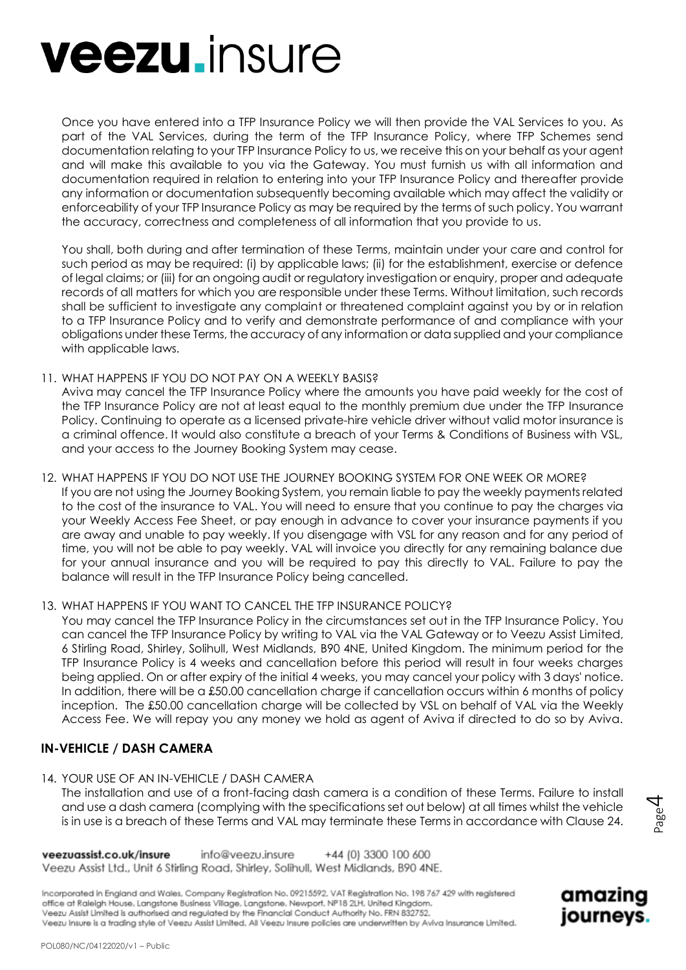Once you have entered into a TFP Insurance Policy we will then provide the VAL Services to you. As part of the VAL Services, during the term of the TFP Insurance Policy, where TFP Schemes send documentation relating to your TFP Insurance Policy to us, we receive this on your behalf as your agent and will make this available to you via the Gateway. You must furnish us with all information and documentation required in relation to entering into your TFP Insurance Policy and thereafter provide any information or documentation subsequently becoming available which may affect the validity or enforceability of your TFP Insurance Policy as may be required by the terms of such policy. You warrant the accuracy, correctness and completeness of all information that you provide to us.

You shall, both during and after termination of these Terms, maintain under your care and control for such period as may be required: (i) by applicable laws; (ii) for the establishment, exercise or defence of legal claims; or (iii) for an ongoing audit or regulatory investigation or enquiry, proper and adequate records of all matters for which you are responsible under these Terms. Without limitation, such records shall be sufficient to investigate any complaint or threatened complaint against you by or in relation to a TFP Insurance Policy and to verify and demonstrate performance of and compliance with your obligations under these Terms, the accuracy of any information or data supplied and your compliance with applicable laws.

#### 11. WHAT HAPPENS IF YOU DO NOT PAY ON A WEEKLY BASIS?

Aviva may cancel the TFP Insurance Policy where the amounts you have paid weekly for the cost of the TFP Insurance Policy are not at least equal to the monthly premium due under the TFP Insurance Policy. Continuing to operate as a licensed private-hire vehicle driver without valid motor insurance is a criminal offence. It would also constitute a breach of your Terms & Conditions of Business with VSL, and your access to the Journey Booking System may cease.

12. WHAT HAPPENS IF YOU DO NOT USE THE JOURNEY BOOKING SYSTEM FOR ONE WEEK OR MORE? If you are not using the Journey Booking System, you remain liable to pay the weekly payments related to the cost of the insurance to VAL. You will need to ensure that you continue to pay the charges via your Weekly Access Fee Sheet, or pay enough in advance to cover your insurance payments if you are away and unable to pay weekly. If you disengage with VSL for any reason and for any period of time, you will not be able to pay weekly. VAL will invoice you directly for any remaining balance due for your annual insurance and you will be required to pay this directly to VAL. Failure to pay the balance will result in the TFP Insurance Policy being cancelled.

#### 13. WHAT HAPPENS IF YOU WANT TO CANCEL THE TFP INSURANCE POLICY?

You may cancel the TFP Insurance Policy in the circumstances set out in the TFP Insurance Policy. You can cancel the TFP Insurance Policy by writing to VAL via the VAL Gateway or to Veezu Assist Limited, 6 Stirling Road, Shirley, Solihull, West Midlands, B90 4NE, United Kingdom. The minimum period for the TFP Insurance Policy is 4 weeks and cancellation before this period will result in four weeks charges being applied. On or after expiry of the initial 4 weeks, you may cancel your policy with 3 days' notice. In addition, there will be a £50.00 cancellation charge if cancellation occurs within 6 months of policy inception. The £50.00 cancellation charge will be collected by VSL on behalf of VAL via the Weekly Access Fee. We will repay you any money we hold as agent of Aviva if directed to do so by Aviva.

#### **IN-VEHICLE / DASH CAMERA**

14. YOUR USE OF AN IN-VEHICLE / DASH CAMERA

The installation and use of a front-facing dash camera is a condition of these Terms. Failure to install and use a dash camera (complying with the specifications set out below) at all times whilst the vehicle is in use is a breach of these Terms and VAL may terminate these Terms in accordance with Clause 24.

veezuassist.co.uk/insure info@veezu.insure +44 (0) 3300 100 600 Veezu Assist Ltd., Unit 6 Stirling Road, Shirley, Solihull, West Midlands, B90 4NE.

Incorporated in England and Wales, Company Registration No. 09215592, VAT Registration No. 198 767 429 with registered office at Raleigh House, Langstone Business Village, Langstone, Newport, NP18 2LH, United Kingdom. Veezu Assist Limited is authorised and regulated by the Financial Conduct Authority No. FRN 832752. Veezu Insure is a tradina style of Veezu Assist Limited, All Veezu Insure policies are underwritten by Aviva Insurance Limited.



Page 4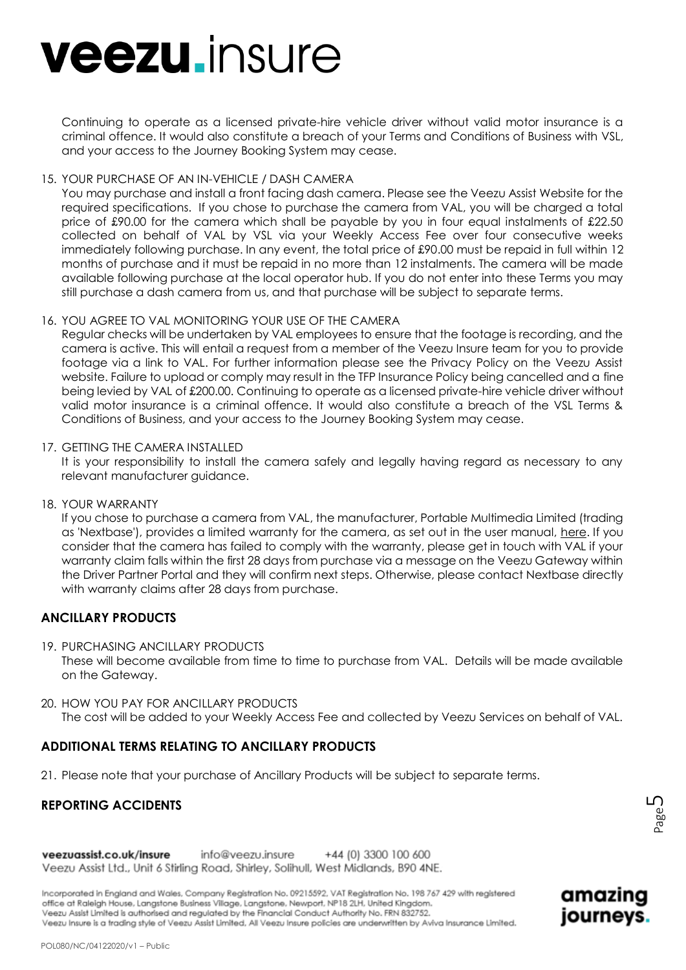Continuing to operate as a licensed private-hire vehicle driver without valid motor insurance is a criminal offence. It would also constitute a breach of your Terms and Conditions of Business with VSL, and your access to the Journey Booking System may cease.

#### 15. YOUR PURCHASE OF AN IN-VEHICLE / DASH CAMERA

You may purchase and install a front facing dash camera. Please see the Veezu Assist Website for the required specifications. If you chose to purchase the camera from VAL, you will be charged a total price of £90.00 for the camera which shall be payable by you in four equal instalments of £22.50 collected on behalf of VAL by VSL via your Weekly Access Fee over four consecutive weeks immediately following purchase. In any event, the total price of £90.00 must be repaid in full within 12 months of purchase and it must be repaid in no more than 12 instalments. The camera will be made available following purchase at the local operator hub. If you do not enter into these Terms you may still purchase a dash camera from us, and that purchase will be subject to separate terms.

#### 16. YOU AGREE TO VAL MONITORING YOUR USE OF THE CAMERA

Regular checks will be undertaken by VAL employees to ensure that the footage is recording, and the camera is active. This will entail a request from a member of the Veezu Insure team for you to provide footage via a link to VAL. For further information please see the Privacy Policy on the Veezu Assist website. Failure to upload or comply may result in the TFP Insurance Policy being cancelled and a fine being levied by VAL of £200.00. Continuing to operate as a licensed private-hire vehicle driver without valid motor insurance is a criminal offence. It would also constitute a breach of the VSL Terms & Conditions of Business, and your access to the Journey Booking System may cease.

#### 17. GETTING THE CAMERA INSTALLED

It is your responsibility to install the camera safely and legally having regard as necessary to any relevant manufacturer guidance.

#### 18. YOUR WARRANTY

If you chose to purchase a camera from VAL, the manufacturer, Portable Multimedia Limited (trading as 'Nextbase'), provides a limited warranty for the camera, as set out in the user manual, [here.](https://www.nextbase.com/en-gb/help-and-support/dash-cams/322gw-dash-cam-support/) If you consider that the camera has failed to comply with the warranty, please get in touch with VAL if your warranty claim falls within the first 28 days from purchase via a message on the Veezu Gateway within the Driver Partner Portal and they will confirm next steps. Otherwise, please contact Nextbase directly with warranty claims after 28 days from purchase.

#### **ANCILLARY PRODUCTS**

- 19. PURCHASING ANCILLARY PRODUCTS These will become available from time to time to purchase from VAL. Details will be made available on the Gateway.
- 20. HOW YOU PAY FOR ANCILLARY PRODUCTS The cost will be added to your Weekly Access Fee and collected by Veezu Services on behalf of VAL.

## **ADDITIONAL TERMS RELATING TO ANCILLARY PRODUCTS**

21. Please note that your purchase of Ancillary Products will be subject to separate terms.

## **REPORTING ACCIDENTS**

amazing

journeys.

veezuassist.co.uk/insure info@veezu.insure +44 (0) 3300 100 600 Veezu Assist Ltd., Unit 6 Stirling Road, Shirley, Solihull, West Midlands, B90 4NE.

Incorporated in England and Wales, Company Registration No. 09215592, VAT Registration No. 198 767 429 with registered office at Raleigh House, Langstone Business Village, Langstone, Newport, NP18 2LH, United Kingdom. Veezu Assist Limited is authorised and regulated by the Financial Conduct Authority No. FRN 832752. Veezu Insure is a trading style of Veezu Assist Limited, All Veezu Insure policies are underwritten by Aviva Insurance Limited.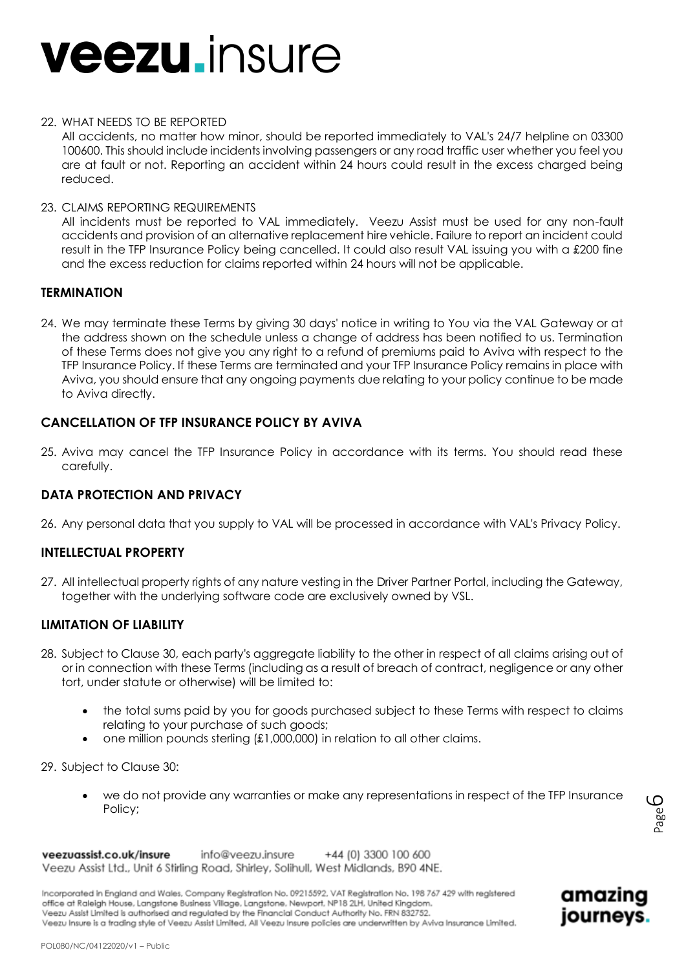#### 22. WHAT NEEDS TO BE REPORTED

All accidents, no matter how minor, should be reported immediately to VAL's 24/7 helpline on 03300 100600. This should include incidents involving passengers or any road traffic user whether you feel you are at fault or not. Reporting an accident within 24 hours could result in the excess charged being reduced.

23. CLAIMS REPORTING REQUIREMENTS

All incidents must be reported to VAL immediately. Veezu Assist must be used for any non-fault accidents and provision of an alternative replacement hire vehicle. Failure to report an incident could result in the TFP Insurance Policy being cancelled. It could also result VAL issuing you with a £200 fine and the excess reduction for claims reported within 24 hours will not be applicable.

### **TERMINATION**

24. We may terminate these Terms by giving 30 days' notice in writing to You via the VAL Gateway or at the address shown on the schedule unless a change of address has been notified to us. Termination of these Terms does not give you any right to a refund of premiums paid to Aviva with respect to the TFP Insurance Policy. If these Terms are terminated and your TFP Insurance Policy remains in place with Aviva, you should ensure that any ongoing payments due relating to your policy continue to be made to Aviva directly.

## **CANCELLATION OF TFP INSURANCE POLICY BY AVIVA**

25. Aviva may cancel the TFP Insurance Policy in accordance with its terms. You should read these carefully.

#### **DATA PROTECTION AND PRIVACY**

26. Any personal data that you supply to VAL will be processed in accordance with VAL's Privacy Policy.

#### **INTELLECTUAL PROPERTY**

27. All intellectual property rights of any nature vesting in the Driver Partner Portal, including the Gateway, together with the underlying software code are exclusively owned by VSL.

## **LIMITATION OF LIABILITY**

- 28. Subject to Clause 30, each party's aggregate liability to the other in respect of all claims arising out of or in connection with these Terms (including as a result of breach of contract, negligence or any other tort, under statute or otherwise) will be limited to:
	- the total sums paid by you for goods purchased subject to these Terms with respect to claims relating to your purchase of such goods;
	- one million pounds sterling (£1,000,000) in relation to all other claims.

29. Subject to Clause 30:

 we do not provide any warranties or make any representations in respect of the TFP Insurance Policy;

amazing

journeys.

+44 (0) 3300 100 600 veezuassist.co.uk/insure info@veezu.insure Veezu Assist Ltd., Unit 6 Stirling Road, Shirley, Solihull, West Midlands, B90 4NE.

Incorporated in England and Wales, Company Registration No. 09215592, VAT Registration No. 198 767 429 with registered office at Raleigh House, Langstone Business Village, Langstone, Newport, NP18 2LH, United Kingdom. Veezu Assist Limited is authorised and regulated by the Financial Conduct Authority No. FRN 832752. Veezu Insure is a tradina style of Veezu Assist Limited, All Veezu Insure policies are underwritten by Aviva Insurance Limited.